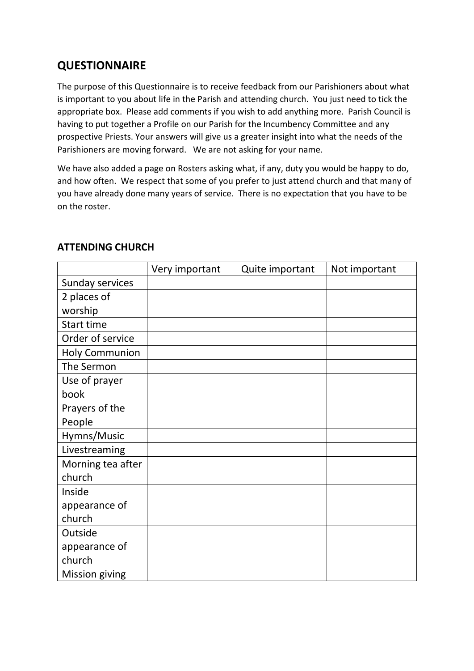## **QUESTIONNAIRE**

The purpose of this Questionnaire is to receive feedback from our Parishioners about what is important to you about life in the Parish and attending church. You just need to tick the appropriate box. Please add comments if you wish to add anything more. Parish Council is having to put together a Profile on our Parish for the Incumbency Committee and any prospective Priests. Your answers will give us a greater insight into what the needs of the Parishioners are moving forward. We are not asking for your name.

We have also added a page on Rosters asking what, if any, duty you would be happy to do, and how often. We respect that some of you prefer to just attend church and that many of you have already done many years of service. There is no expectation that you have to be on the roster.

|                       | Very important | Quite important | Not important |
|-----------------------|----------------|-----------------|---------------|
| Sunday services       |                |                 |               |
| 2 places of           |                |                 |               |
| worship               |                |                 |               |
| Start time            |                |                 |               |
| Order of service      |                |                 |               |
| <b>Holy Communion</b> |                |                 |               |
| The Sermon            |                |                 |               |
| Use of prayer         |                |                 |               |
| book                  |                |                 |               |
| Prayers of the        |                |                 |               |
| People                |                |                 |               |
| Hymns/Music           |                |                 |               |
| Livestreaming         |                |                 |               |
| Morning tea after     |                |                 |               |
| church                |                |                 |               |
| Inside                |                |                 |               |
| appearance of         |                |                 |               |
| church                |                |                 |               |
| Outside               |                |                 |               |
| appearance of         |                |                 |               |
| church                |                |                 |               |
| <b>Mission giving</b> |                |                 |               |

## **ATTENDING CHURCH**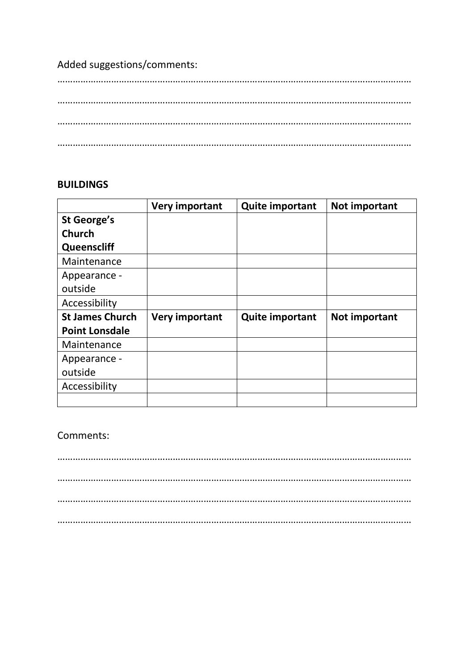Added suggestions/comments:

## **BUILDINGS**

|                        | <b>Very important</b> | <b>Quite important</b> | Not important |
|------------------------|-----------------------|------------------------|---------------|
| St George's            |                       |                        |               |
| <b>Church</b>          |                       |                        |               |
| Queenscliff            |                       |                        |               |
| Maintenance            |                       |                        |               |
| Appearance -           |                       |                        |               |
| outside                |                       |                        |               |
| Accessibility          |                       |                        |               |
| <b>St James Church</b> | Very important        | <b>Quite important</b> | Not important |
| <b>Point Lonsdale</b>  |                       |                        |               |
| Maintenance            |                       |                        |               |
| Appearance -           |                       |                        |               |
| outside                |                       |                        |               |
| Accessibility          |                       |                        |               |
|                        |                       |                        |               |

Comments:

………………………………………………………………………………………………………………………… ………………………………………………………………………………………………………………………… ………………………………………………………………………………………………………………………… …………………………………………………………………………………………………………………………